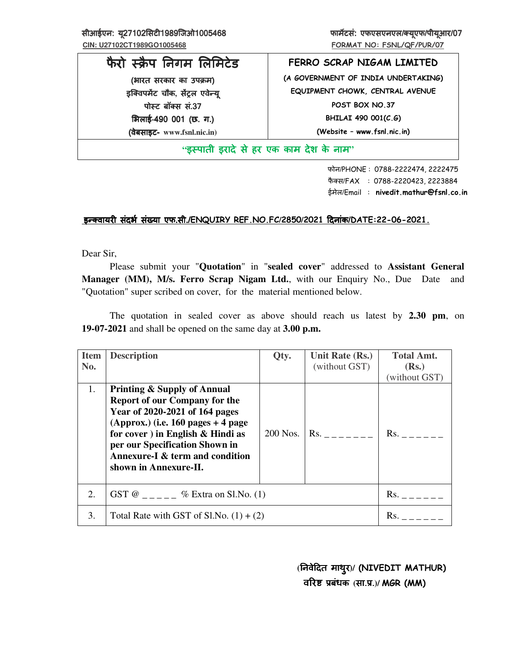सीआईएन: यू27102सिटी1989जिओ1005468 **<b>कार्यायक एफएसएनएल/क्यूएफ/पीयूआर/07** कार्याटक एफएसएनएल/क्यूएफ/पीयूआर/ ह

# फैरो स्क्रैप निगम लिमिटेड (भारत सरकार का उपक्रम)

इक्विपमेंट चौक, सेंट्रल एवेन्यू पोस्ट बॉक्स सं.37 भिलाई-490 001 (छ. ग.) (वेबसाइट (वेबसाइट वेबसाइट- **www.fsnl.nic.in)**

**FERRO SCRAP NIGAM LIMITED (A GOVERNMENT OF INDIA UNDERTAKING) EQUIPMENT CHOWK, CENTRAL AVENUE POST BOX NO.37 BHILAI 490 001(C.G) (Website – www.fsnl.nic.in)** 

# **"**इ&पाती इरादे से हर एक काम देश के नाम इ&पाती इरादे से हर एक काम देश के नाम**"**

 फोन/PHONE : 0788-2222474, 2222475 फैक्स/FAX : 0788-2220423, 2223884 ईमेल/Email : **nivedit.mathur@fsnl.co.in**

# <u>इन्क्वायरी संदर्भ संख्या एफ.सी./ENQUIRY REF.NO.FC/2850/2021 दिनांक/DATE:22-06-2021.</u>

Dear Sir,

Please submit your "**Quotation**" in "**sealed cover**" addressed to **Assistant General Manager (MM), M/s. Ferro Scrap Nigam Ltd.**, with our Enquiry No., Due Date and "Quotation" super scribed on cover, for the material mentioned below.

The quotation in sealed cover as above should reach us latest by 2.30 pm, on **19-07-2021** and shall be opened on the same day at **3.00 p.m.** 

| <b>Item</b><br>No. | <b>Description</b>                                                                                                                                                                                                                                                                              | Qty.     | Unit Rate (Rs.)<br>(without GST) | <b>Total Amt.</b><br>(Rs.)<br>(without GST) |
|--------------------|-------------------------------------------------------------------------------------------------------------------------------------------------------------------------------------------------------------------------------------------------------------------------------------------------|----------|----------------------------------|---------------------------------------------|
| 1.                 | <b>Printing &amp; Supply of Annual</b><br><b>Report of our Company for the</b><br>Year of 2020-2021 of 164 pages<br>(Approx.) (i.e. $160$ pages $+4$ page<br>for cover ) in English $\&$ Hindi as<br>per our Specification Shown in<br>Annexure-I & term and condition<br>shown in Annexure-II. | 200 Nos. | $\mathsf{Rs.}$                   | $Rs.$ ______                                |
| 2.                 | GST @ _____ % Extra on Sl.No. (1)                                                                                                                                                                                                                                                               |          |                                  | $\mathsf{Rs.}$                              |
| 3.                 | Total Rate with GST of Sl.No. $(1) + (2)$                                                                                                                                                                                                                                                       |          |                                  | Rs.                                         |

 **(**(नवेDदत (नवेDदतमाथुर**)/ (NIVEDIT MATHUR)**  $\overline{a}$ रिष्ट प्रबंधक (सा.प्र.)/ MGR (MM)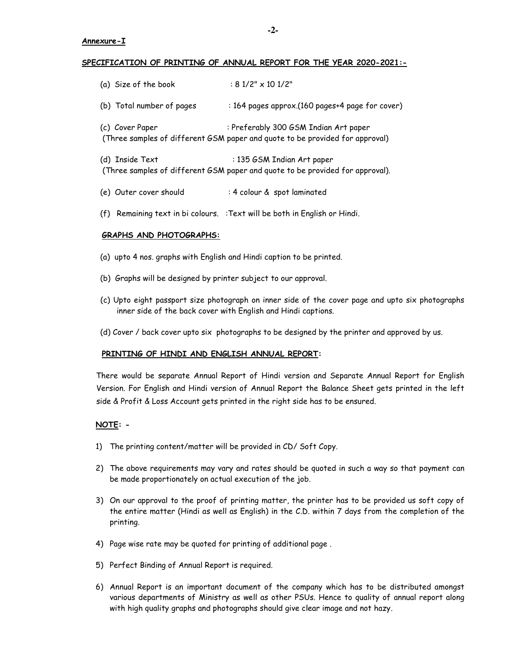#### **Annexure-I**

#### **SPECIFICATION OF PRINTING OF ANNUAL REPORT FOR THE YEAR 2020-2021:-**

| (a) Size of the book      | $: 81/2" \times 101/2"$                                                                                               |
|---------------------------|-----------------------------------------------------------------------------------------------------------------------|
| (b) Total number of pages | : 164 pages approx.(160 pages+4 page for cover)                                                                       |
| (c) Cover Paper           | : Preferably 300 GSM Indian Art paper<br>(Three samples of different GSM paper and quote to be provided for approval) |
| (d) Inside Text           | : 135 GSM Indian Art paper<br>(Three samples of different GSM paper and quote to be provided for approval).           |

- (e) Outer cover should : 4 colour & spot laminated
- (f) Remaining text in bi colours. :Text will be both in English or Hindi.

## **GRAPHS AND PHOTOGRAPHS:**

- (a) upto 4 nos. graphs with English and Hindi caption to be printed.
- (b) Graphs will be designed by printer subject to our approval.
- (c) Upto eight passport size photograph on inner side of the cover page and upto six photographs inner side of the back cover with English and Hindi captions.
- (d) Cover / back cover upto six photographs to be designed by the printer and approved by us.

## **PRINTING OF HINDI AND ENGLISH ANNUAL REPORT:**

 There would be separate Annual Report of Hindi version and Separate Annual Report for English Version. For English and Hindi version of Annual Report the Balance Sheet gets printed in the left side & Profit & Loss Account gets printed in the right side has to be ensured.

## **NOTE: -**

- 1) The printing content/matter will be provided in CD/ Soft Copy.
- 2) The above requirements may vary and rates should be quoted in such a way so that payment can be made proportionately on actual execution of the job.
- 3) On our approval to the proof of printing matter, the printer has to be provided us soft copy of the entire matter (Hindi as well as English) in the C.D. within 7 days from the completion of the printing.
- 4) Page wise rate may be quoted for printing of additional page .
- 5) Perfect Binding of Annual Report is required.
- 6) Annual Report is an important document of the company which has to be distributed amongst various departments of Ministry as well as other PSUs. Hence to quality of annual report along with high quality graphs and photographs should give clear image and not hazy.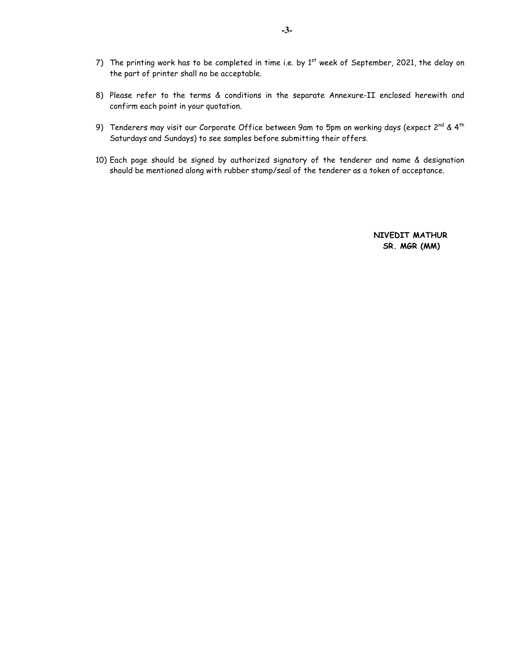- 7) The printing work has to be completed in time i.e. by  $1^{st}$  week of September, 2021, the delay on the part of printer shall no be acceptable.
- 8) Please refer to the terms & conditions in the separate Annexure-II enclosed herewith and confirm each point in your quotation.
- 9) Tenderers may visit our Corporate Office between 9am to 5pm on working days (expect  $2^{nd}$  & 4<sup>th</sup> Saturdays and Sundays) to see samples before submitting their offers.
- 10) Each page should be signed by authorized signatory of the tenderer and name & designation should be mentioned along with rubber stamp/seal of the tenderer as a token of acceptance.

 **NIVEDIT MATHUR SR. MGR (MM)**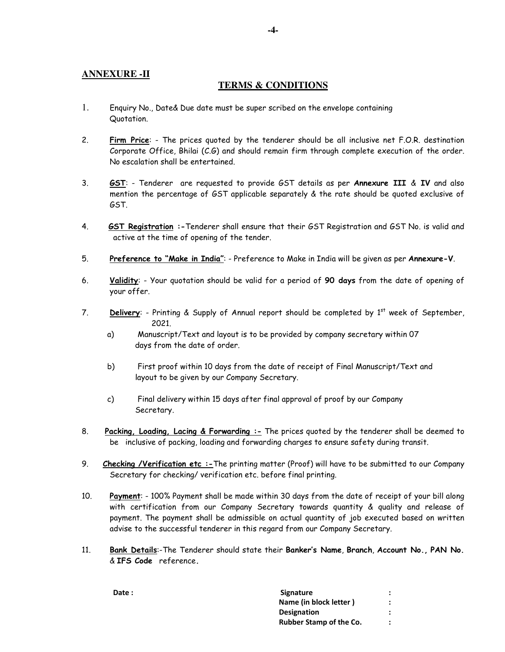# **ANNEXURE -II**

## **TERMS & CONDITIONS**

- 1. Enquiry No., Date& Due date must be super scribed on the envelope containing Quotation.
- 2. **Firm Price**: The prices quoted by the tenderer should be all inclusive net F.O.R. destination Corporate Office, Bhilai (C.G) and should remain firm through complete execution of the order. No escalation shall be entertained.
- 3. **GST**: Tenderer are requested to provide GST details as per **Annexure III** & **IV** and also mention the percentage of GST applicable separately & the rate should be quoted exclusive of GST.
- 4. **GST Registration :-**Tenderer shall ensure that their GST Registration and GST No. is valid and active at the time of opening of the tender.
- 5. **Preference to "Make in India"**: Preference to Make in India will be given as per **Annexure-V**.
- 6. **Validity**: Your quotation should be valid for a period of **90 days** from the date of opening of your offer.
- 7. **Delivery:** Printing & Supply of Annual report should be completed by 1<sup>st</sup> week of September, 2021.
	- a) Manuscript/Text and layout is to be provided by company secretary within 07 days from the date of order.
	- b) First proof within 10 days from the date of receipt of Final Manuscript/Text and layout to be given by our Company Secretary.
	- c) Final delivery within 15 days after final approval of proof by our Company Secretary.
- 8. **Packing, Loading, Lacing & Forwarding :-** The prices quoted by the tenderer shall be deemed to be inclusive of packing, loading and forwarding charges to ensure safety during transit.
- 9. **Checking /Verification etc :-**The printing matter (Proof) will have to be submitted to our Company Secretary for checking/ verification etc. before final printing.
- 10. **Payment**: 100% Payment shall be made within 30 days from the date of receipt of your bill along with certification from our Company Secretary towards quantity & quality and release of payment. The payment shall be admissible on actual quantity of job executed based on written advise to the successful tenderer in this regard from our Company Secretary.
- 11. **Bank Details**:-The Tenderer should state their **Banker's Name**, **Branch**, **Account No., PAN No.** & **IFS Code** reference**.**

| Date: | <b>Signature</b>               |  |
|-------|--------------------------------|--|
|       | Name (in block letter)         |  |
|       | <b>Designation</b>             |  |
|       | <b>Rubber Stamp of the Co.</b> |  |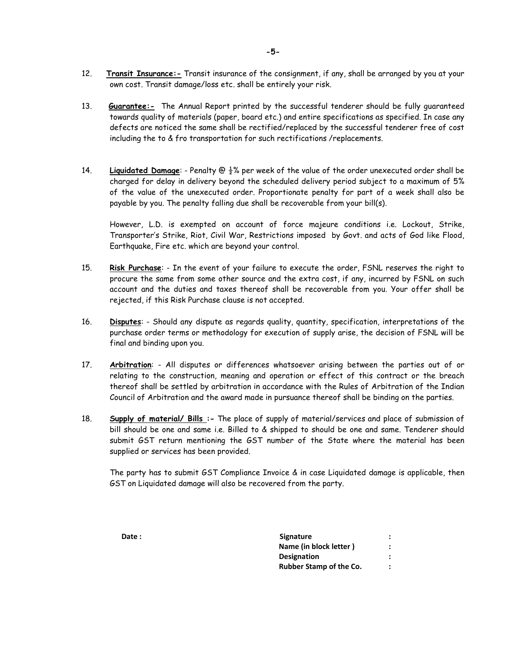- 12. **Transit Insurance:-** Transit insurance of the consignment, if any, shall be arranged by you at your own cost. Transit damage/loss etc. shall be entirely your risk.
- 13. **Guarantee:-** The Annual Report printed by the successful tenderer should be fully guaranteed towards quality of materials (paper, board etc.) and entire specifications as specified. In case any defects are noticed the same shall be rectified/replaced by the successful tenderer free of cost including the to & fro transportation for such rectifications /replacements.
- 14. **Liquidated Damage**: Penalty @ ½% per week of the value of the order unexecuted order shall be charged for delay in delivery beyond the scheduled delivery period subject to a maximum of 5% of the value of the unexecuted order. Proportionate penalty for part of a week shall also be payable by you. The penalty falling due shall be recoverable from your bill(s).

However, L.D. is exempted on account of force majeure conditions i.e. Lockout, Strike, Transporter's Strike, Riot, Civil War, Restrictions imposed by Govt. and acts of God like Flood, Earthquake, Fire etc. which are beyond your control.

- 15. **Risk Purchase**: In the event of your failure to execute the order, FSNL reserves the right to procure the same from some other source and the extra cost, if any, incurred by FSNL on such account and the duties and taxes thereof shall be recoverable from you. Your offer shall be rejected, if this Risk Purchase clause is not accepted.
- 16. **Disputes**: Should any dispute as regards quality, quantity, specification, interpretations of the purchase order terms or methodology for execution of supply arise, the decision of FSNL will be final and binding upon you.
- 17. **Arbitration**: All disputes or differences whatsoever arising between the parties out of or relating to the construction, meaning and operation or effect of this contract or the breach thereof shall be settled by arbitration in accordance with the Rules of Arbitration of the Indian Council of Arbitration and the award made in pursuance thereof shall be binding on the parties.
- 18. **Supply of material/ Bills :-** The place of supply of material/services and place of submission of bill should be one and same i.e. Billed to & shipped to should be one and same. Tenderer should submit GST return mentioning the GST number of the State where the material has been supplied or services has been provided.

 The party has to submit GST Compliance Invoice & in case Liquidated damage is applicable, then GST on Liquidated damage will also be recovered from the party.

| Date: | <b>Signature</b>               |         |
|-------|--------------------------------|---------|
|       | Name (in block letter)         |         |
|       | <b>Designation</b>             |         |
|       | <b>Rubber Stamp of the Co.</b> | $\cdot$ |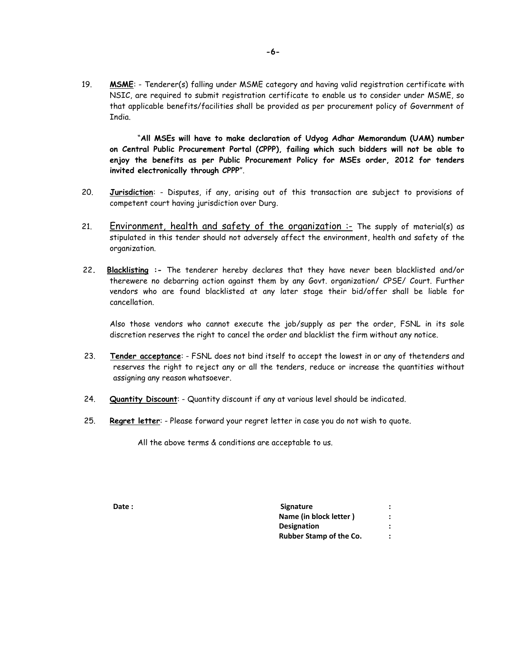19. **MSME**: - Tenderer(s) falling under MSME category and having valid registration certificate with NSIC, are required to submit registration certificate to enable us to consider under MSME, so that applicable benefits/facilities shall be provided as per procurement policy of Government of India.

 "**All MSEs will have to make declaration of Udyog Adhar Memorandum (UAM) number on Central Public Procurement Portal (CPPP), failing which such bidders will not be able to enjoy the benefits as per Public Procurement Policy for MSEs order, 2012 for tenders invited electronically through CPPP**".

- 20. **Jurisdiction**: Disputes, if any, arising out of this transaction are subject to provisions of competent court having jurisdiction over Durg.
- 21. Environment, health and safety of the organization :- The supply of material(s) as stipulated in this tender should not adversely affect the environment, health and safety of the organization.
- 22**. Blacklisting :-** The tenderer hereby declares that they have never been blacklisted and/or therewere no debarring action against them by any Govt. organization/ CPSE/ Court. Further vendors who are found blacklisted at any later stage their bid/offer shall be liable for cancellation.

Also those vendors who cannot execute the job/supply as per the order, FSNL in its sole discretion reserves the right to cancel the order and blacklist the firm without any notice.

- 23. **Tender acceptance**: FSNL does not bind itself to accept the lowest in or any of thetenders and reserves the right to reject any or all the tenders, reduce or increase the quantities without assigning any reason whatsoever.
- 24. **Quantity Discount**: Quantity discount if any at various level should be indicated.
- 25. **Regret letter**: Please forward your regret letter in case you do not wish to quote.

All the above terms & conditions are acceptable to us.

**Date :** Signature : **Signature** : **Signature** : **Signature** : **Signature** : **Signature** : **Signature** : **Signature** : **Signature** : **Signature** : **Signature** : **Signature** : **Signature** : **Signature** : **Signature** : **Sign Name (in block letter ) : Designation : The Second Second Second Second Second Second Second Second Second Second Second Second Second Second Second Second Second Second Second Second Second Second Second Second Second Second Second Second Second Rubber Stamp of the Co.** :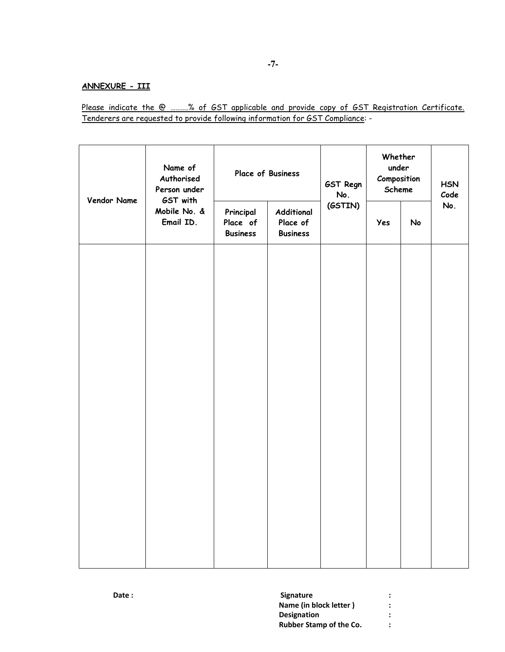# **ANNEXURE - III**

Please indicate the @ ……….% of GST applicable and provide copy of GST Registration Certificate. Tenderers are requested to provide following information for GST Compliance: -

| Vendor Name | Name of<br>Authorised<br>Person under | Place of Business                                                                     |         | GST Regn<br>No. | Whether<br>under<br>Composition<br>Scheme |     | <b>HSN</b><br>Code |
|-------------|---------------------------------------|---------------------------------------------------------------------------------------|---------|-----------------|-------------------------------------------|-----|--------------------|
|             | GST with<br>Mobile No. &<br>Email ID. | Principal<br>Additional<br>Place of<br>Place of<br><b>Business</b><br><b>Business</b> | (GSTIN) | Yes             | No                                        | No. |                    |
|             |                                       |                                                                                       |         |                 |                                           |     |                    |
|             |                                       |                                                                                       |         |                 |                                           |     |                    |
|             |                                       |                                                                                       |         |                 |                                           |     |                    |
|             |                                       |                                                                                       |         |                 |                                           |     |                    |
|             |                                       |                                                                                       |         |                 |                                           |     |                    |
|             |                                       |                                                                                       |         |                 |                                           |     |                    |
|             |                                       |                                                                                       |         |                 |                                           |     |                    |

| Date: | <b>Signature</b>               |  |
|-------|--------------------------------|--|
|       | Name (in block letter)         |  |
|       | <b>Designation</b>             |  |
|       | <b>Rubber Stamp of the Co.</b> |  |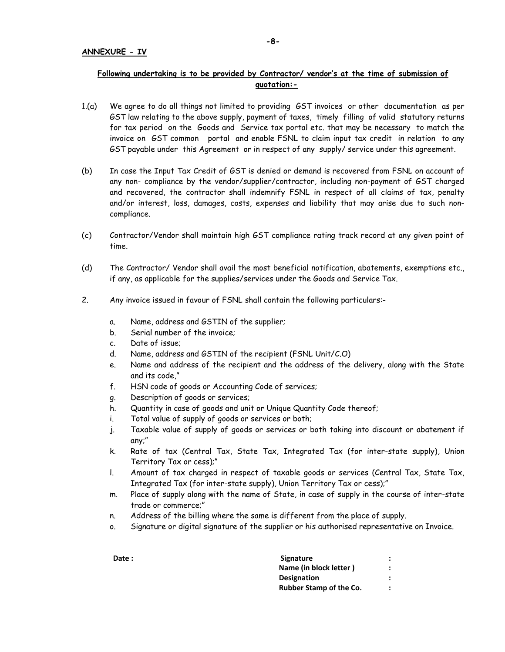# **Following undertaking is to be provided by Contractor/ vendor's at the time of submission of quotation:-**

- 1.(a) We agree to do all things not limited to providing GST invoices or other documentation as per GST law relating to the above supply, payment of taxes, timely filling of valid statutory returns for tax period on the Goods and Service tax portal etc. that may be necessary to match the invoice on GST common portal and enable FSNL to claim input tax credit in relation to any GST payable under this Agreement or in respect of any supply/ service under this agreement.
- (b) In case the Input Tax Credit of GST is denied or demand is recovered from FSNL on account of any non- compliance by the vendor/supplier/contractor, including non-payment of GST charged and recovered, the contractor shall indemnify FSNL in respect of all claims of tax, penalty and/or interest, loss, damages, costs, expenses and liability that may arise due to such noncompliance.
- (c) Contractor/Vendor shall maintain high GST compliance rating track record at any given point of time.
- (d) The Contractor/ Vendor shall avail the most beneficial notification, abatements, exemptions etc., if any, as applicable for the supplies/services under the Goods and Service Tax.
- 2. Any invoice issued in favour of FSNL shall contain the following particulars:
	- a. Name, address and GSTIN of the supplier;
	- b. Serial number of the invoice;
	- c. Date of issue;
	- d. Name, address and GSTIN of the recipient (FSNL Unit/C.O)
	- e. Name and address of the recipient and the address of the delivery, along with the State and its code,"
	- f. HSN code of goods or Accounting Code of services;
	- g. Description of goods or services;
	- h. Quantity in case of goods and unit or Unique Quantity Code thereof;
	- i. Total value of supply of goods or services or both;
	- j. Taxable value of supply of goods or services or both taking into discount or abatement if any;"
	- k. Rate of tax (Central Tax, State Tax, Integrated Tax (for inter-state supply), Union Territory Tax or cess);"
	- l. Amount of tax charged in respect of taxable goods or services (Central Tax, State Tax, Integrated Tax (for inter-state supply), Union Territory Tax or cess);"
	- m. Place of supply along with the name of State, in case of supply in the course of inter-state trade or commerce;"
	- n. Address of the billing where the same is different from the place of supply.
	- o. Signature or digital signature of the supplier or his authorised representative on Invoice.

**Date :** Signature : **Signature** : **Signature** : **Signature** : **Signature** : **Signature** : **Signature** : **Signature** : **Signature** : **Signature** : **Signature** : **Signature** : **Signature** : **Signature** : **Signature** : **Sign Name (in block letter )**  $\qquad$  **: Designation : Rubber Stamp of the Co.**  $\cdot$  **:**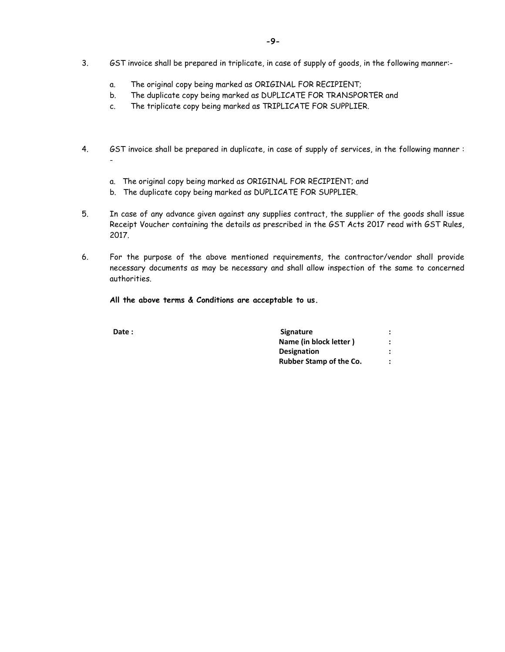- 3. GST invoice shall be prepared in triplicate, in case of supply of goods, in the following manner:
	- a. The original copy being marked as ORIGINAL FOR RECIPIENT;
	- b. The duplicate copy being marked as DUPLICATE FOR TRANSPORTER and
	- c. The triplicate copy being marked as TRIPLICATE FOR SUPPLIER.
- 4. GST invoice shall be prepared in duplicate, in case of supply of services, in the following manner :
	- a. The original copy being marked as ORIGINAL FOR RECIPIENT; and
	- b. The duplicate copy being marked as DUPLICATE FOR SUPPLIER.
- 5. In case of any advance given against any supplies contract, the supplier of the goods shall issue Receipt Voucher containing the details as prescribed in the GST Acts 2017 read with GST Rules, 2017.
- 6. For the purpose of the above mentioned requirements, the contractor/vendor shall provide necessary documents as may be necessary and shall allow inspection of the same to concerned authorities.

**All the above terms & Conditions are acceptable to us.** 

| Date: | <b>Signature</b>               |  |
|-------|--------------------------------|--|
|       | Name (in block letter)         |  |
|       | <b>Designation</b>             |  |
|       | <b>Rubber Stamp of the Co.</b> |  |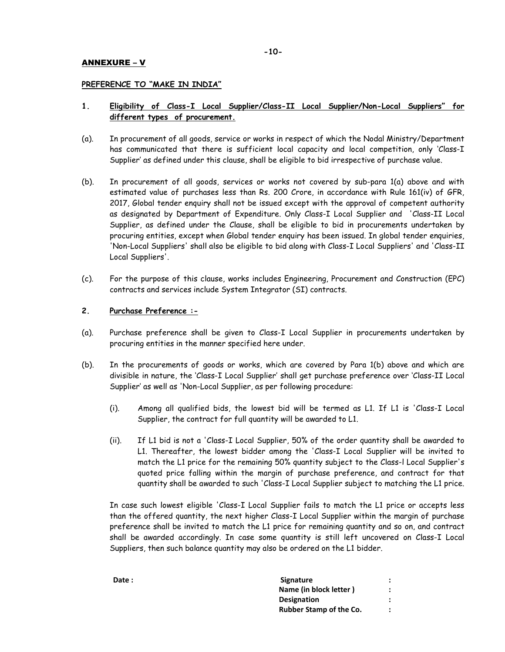## ANNEXURE – V

## **PREFERENCE TO "MAKE IN INDIA"**

## **1. Eligibility of Class-I Local Supplier/Class-II Local Supplier/Non-Local Suppliers" for different types of procurement.**

- (a). In procurement of all goods, service or works in respect of which the Nodal Ministry/Department has communicated that there is sufficient local capacity and local competition, only 'Class-I Supplier' as defined under this clause, shall be eligible to bid irrespective of purchase value.
- (b). In procurement of all goods, services or works not covered by sub-para 1(a) above and with estimated value of purchases less than Rs. 200 Crore, in accordance with Rule 161(iv) of GFR, 2017, Global tender enquiry shall not be issued except with the approval of competent authority as designated by Department of Expenditure. Only Class-I Local Supplier and 'Class-II Local Supplier, as defined under the Clause, shall be eligible to bid in procurements undertaken by procuring entities, except when Global tender enquiry has been issued. In global tender enquiries, 'Non-Local Suppliers' shall also be eligible to bid along with Class-I Local Suppliers' and 'Class-II Local Suppliers'.
- (c). For the purpose of this clause, works includes Engineering, Procurement and Construction (EPC) contracts and services include System Integrator (SI) contracts.

## **2. Purchase Preference :-**

- (a). Purchase preference shall be given to Class-I Local Supplier in procurements undertaken by procuring entities in the manner specified here under.
- (b). In the procurements of goods or works, which are covered by Para 1(b) above and which are divisible in nature, the 'Class-I Local Supplier' shall get purchase preference over 'Class-II Local Supplier' as well as 'Non-Local Supplier, as per following procedure:
	- (i). Among all qualified bids, the lowest bid will be termed as L1. If L1 is 'Class-I Local Supplier, the contract for full quantity will be awarded to L1.
	- (ii). If L1 bid is not a 'Class-I Local Supplier, 50% of the order quantity shall be awarded to L1. Thereafter, the lowest bidder among the 'Class-I Local Supplier will be invited to match the L1 price for the remaining 50% quantity subject to the Class-l Local Supplier's quoted price falling within the margin of purchase preference, and contract for that quantity shall be awarded to such 'Class-I Local Supplier subject to matching the L1 price.

In case such lowest eligible 'Class-I Local Supplier fails to match the L1 price or accepts less than the offered quantity, the next higher Class-I Local Supplier within the margin of purchase preference shall be invited to match the L1 price for remaining quantity and so on, and contract shall be awarded accordingly. In case some quantity is still left uncovered on Class-I Local Suppliers, then such balance quantity may also be ordered on the L1 bidder.

| <b>Signature</b>               |  |
|--------------------------------|--|
| Name (in block letter)         |  |
| <b>Designation</b>             |  |
| <b>Rubber Stamp of the Co.</b> |  |
|                                |  |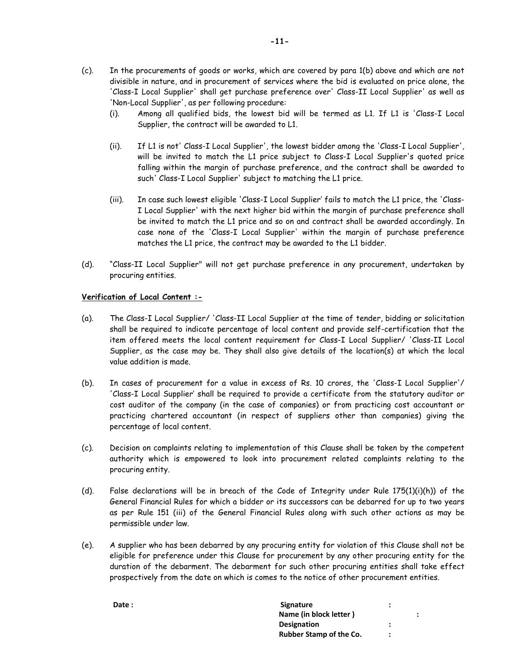- (c). In the procurements of goods or works, which are covered by para 1(b) above and which are not divisible in nature, and in procurement of services where the bid is evaluated on price alone, the 'Class-I Local Supplier' shall get purchase preference over' Class-II Local Supplier' as well as 'Non-Local Supplier', as per following procedure:
	- (i). Among all qualified bids, the lowest bid will be termed as L1. If L1 is 'Class-I Local Supplier, the contract will be awarded to L1.
	- (ii). If L1 is not' Class-I Local Supplier', the lowest bidder among the 'Class-I Local Supplier', will be invited to match the L1 price subject to Class-I Local Supplier's quoted price falling within the margin of purchase preference, and the contract shall be awarded to such' Class-I Local Supplier' subject to matching the L1 price.
	- (iii). In case such lowest eligible 'Class-I Local Supplier' fails to match the L1 price, the 'Class-I Local Supplier' with the next higher bid within the margin of purchase preference shall be invited to match the L1 price and so on and contract shall be awarded accordingly. In case none of the 'Class-I Local Supplier' within the margin of purchase preference matches the L1 price, the contract may be awarded to the L1 bidder.
- (d). "Class-II Local Supplier" will not get purchase preference in any procurement, undertaken by procuring entities.

## **Verification of Local Content :-**

- (a). The Class-I Local Supplier/ 'Class-II Local Supplier at the time of tender, bidding or solicitation shall be required to indicate percentage of local content and provide self-certification that the item offered meets the local content requirement for Class-I Local Supplier/ 'Class-II Local Supplier, as the case may be. They shall also give details of the location(s) at which the local value addition is made.
- (b). In cases of procurement for a value in excess of Rs. 10 crores, the 'Class-I Local Supplier'/ 'Class-I Local Supplier' shall be required to provide a certificate from the statutory auditor or cost auditor of the company (in the case of companies) or from practicing cost accountant or practicing chartered accountant (in respect of suppliers other than companies) giving the percentage of local content.
- (c). Decision on complaints relating to implementation of this Clause shall be taken by the competent authority which is empowered to look into procurement related complaints relating to the procuring entity.
- (d). False declarations will be in breach of the Code of Integrity under Rule 175(1)(i)(h)) of the General Financial Rules for which a bidder or its successors can be debarred for up to two years as per Rule 151 (iii) of the General Financial Rules along with such other actions as may be permissible under law.
- (e). A supplier who has been debarred by any procuring entity for violation of this Clause shall not be eligible for preference under this Clause for procurement by any other procuring entity for the duration of the debarment. The debarment for such other procuring entities shall take effect prospectively from the date on which is comes to the notice of other procurement entities.

| Date: | <b>Signature</b>               |   |           |
|-------|--------------------------------|---|-----------|
|       | Name (in block letter)         |   | $\bullet$ |
|       | <b>Designation</b>             |   |           |
|       | <b>Rubber Stamp of the Co.</b> | : |           |